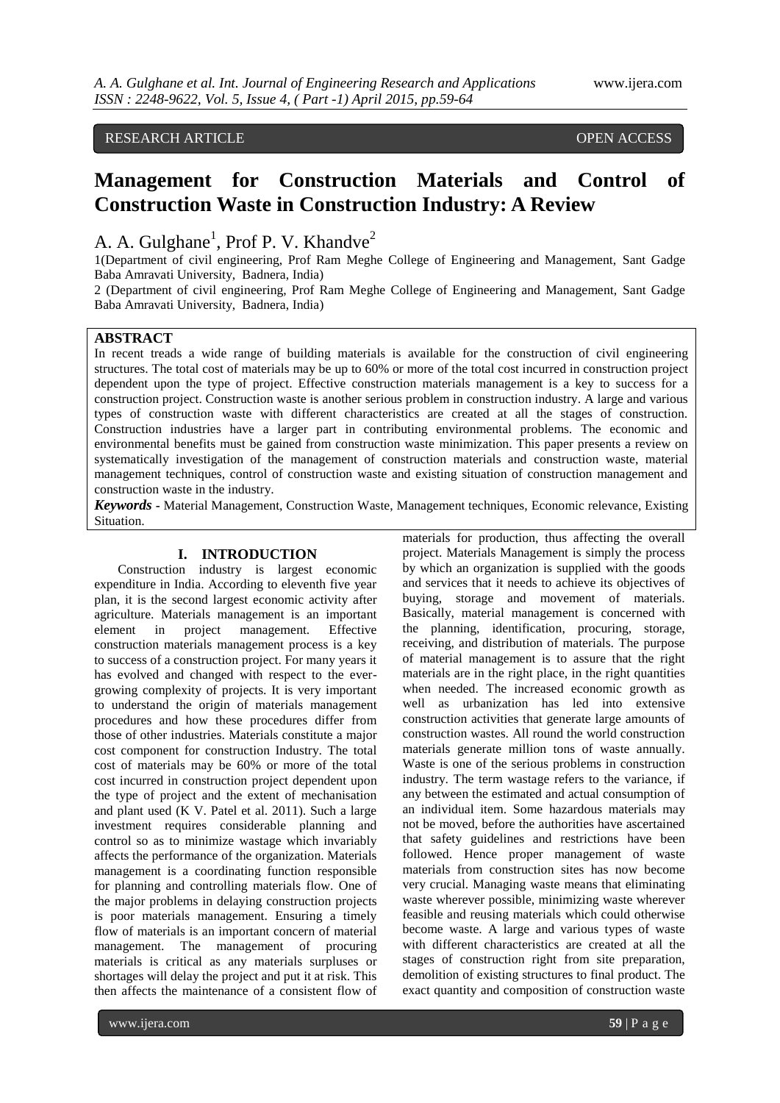# RESEARCH ARTICLE OPEN ACCESS

# **Management for Construction Materials and Control of Construction Waste in Construction Industry: A Review**

# A. A. Gulghane<sup>1</sup>, Prof P. V. Khandve<sup>2</sup>

1(Department of civil engineering, Prof Ram Meghe College of Engineering and Management, Sant Gadge Baba Amravati University, Badnera, India)

2 (Department of civil engineering, Prof Ram Meghe College of Engineering and Management, Sant Gadge Baba Amravati University, Badnera, India)

# **ABSTRACT**

In recent treads a wide range of building materials is available for the construction of civil engineering structures. The total cost of materials may be up to 60% or more of the total cost incurred in construction project dependent upon the type of project. Effective construction materials management is a key to success for a construction project. Construction waste is another serious problem in construction industry. A large and various types of construction waste with different characteristics are created at all the stages of construction. Construction industries have a larger part in contributing environmental problems. The economic and environmental benefits must be gained from construction waste minimization. This paper presents a review on systematically investigation of the management of construction materials and construction waste, material management techniques, control of construction waste and existing situation of construction management and construction waste in the industry.

*Keywords* **-** Material Management, Construction Waste, Management techniques, Economic relevance, Existing Situation.

#### **I. INTRODUCTION**

Construction industry is largest economic expenditure in India. According to eleventh five year plan, it is the second largest economic activity after agriculture. Materials management is an important element in project management. Effective construction materials management process is a key to success of a construction project. For many years it has evolved and changed with respect to the evergrowing complexity of projects. It is very important to understand the origin of materials management procedures and how these procedures differ from those of other industries. Materials constitute a major cost component for construction Industry. The total cost of materials may be 60% or more of the total cost incurred in construction project dependent upon the type of project and the extent of mechanisation and plant used (K V. Patel et al. 2011). Such a large investment requires considerable planning and control so as to minimize wastage which invariably affects the performance of the organization. Materials management is a coordinating function responsible for planning and controlling materials flow. One of the major problems in delaying construction projects is poor materials management. Ensuring a timely flow of materials is an important concern of material management. The management of procuring materials is critical as any materials surpluses or shortages will delay the project and put it at risk. This then affects the maintenance of a consistent flow of

materials for production, thus affecting the overall project. Materials Management is simply the process by which an organization is supplied with the goods and services that it needs to achieve its objectives of buying, storage and movement of materials. Basically, material management is concerned with the planning, identification, procuring, storage, receiving, and distribution of materials. The purpose of material management is to assure that the right materials are in the right place, in the right quantities when needed. The increased economic growth as well as urbanization has led into extensive construction activities that generate large amounts of construction wastes. All round the world construction materials generate million tons of waste annually. Waste is one of the serious problems in construction industry. The term wastage refers to the variance, if any between the estimated and actual consumption of an individual item. Some hazardous materials may not be moved, before the authorities have ascertained that safety guidelines and restrictions have been followed. Hence proper management of waste materials from construction sites has now become very crucial. Managing waste means that eliminating waste wherever possible, minimizing waste wherever feasible and reusing materials which could otherwise become waste. A large and various types of waste with different characteristics are created at all the stages of construction right from site preparation, demolition of existing structures to final product. The exact quantity and composition of construction waste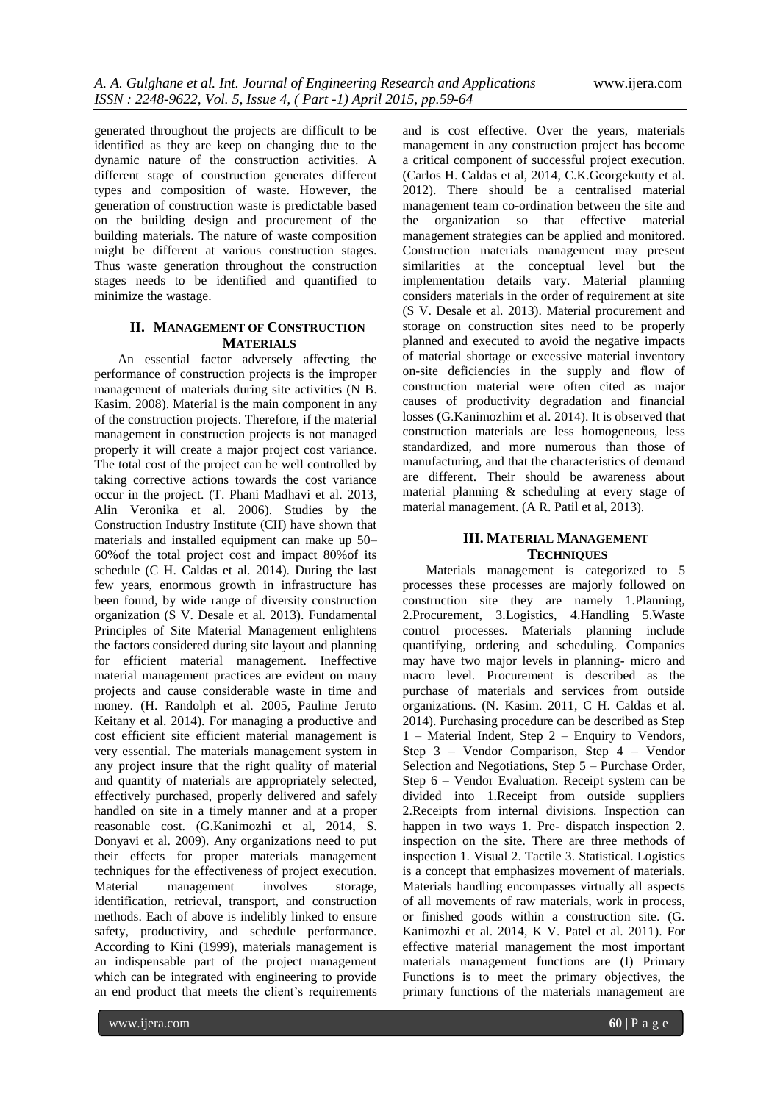generated throughout the projects are difficult to be identified as they are keep on changing due to the dynamic nature of the construction activities. A different stage of construction generates different types and composition of waste. However, the generation of construction waste is predictable based on the building design and procurement of the building materials. The nature of waste composition might be different at various construction stages. Thus waste generation throughout the construction stages needs to be identified and quantified to minimize the wastage.

## **II. MANAGEMENT OF CONSTRUCTION MATERIALS**

An essential factor adversely affecting the performance of construction projects is the improper management of materials during site activities (N B. Kasim. 2008). Material is the main component in any of the construction projects. Therefore, if the material management in construction projects is not managed properly it will create a major project cost variance. The total cost of the project can be well controlled by taking corrective actions towards the cost variance occur in the project. (T. Phani Madhavi et al. 2013, Alin Veronika et al. 2006). Studies by the Construction Industry Institute (CII) have shown that materials and installed equipment can make up 50– 60%of the total project cost and impact 80%of its schedule (C H. Caldas et al. 2014). During the last few years, enormous growth in infrastructure has been found, by wide range of diversity construction organization (S V. Desale et al. 2013). Fundamental Principles of Site Material Management enlightens the factors considered during site layout and planning for efficient material management. Ineffective material management practices are evident on many projects and cause considerable waste in time and money. (H. Randolph et al. 2005, Pauline Jeruto Keitany et al. 2014). For managing a productive and cost efficient site efficient material management is very essential. The materials management system in any project insure that the right quality of material and quantity of materials are appropriately selected, effectively purchased, properly delivered and safely handled on site in a timely manner and at a proper reasonable cost. (G.Kanimozhi et al, 2014, S. Donyavi et al. 2009). Any organizations need to put their effects for proper materials management techniques for the effectiveness of project execution. Material management involves storage, identification, retrieval, transport, and construction methods. Each of above is indelibly linked to ensure safety, productivity, and schedule performance. According to Kini (1999), materials management is an indispensable part of the project management which can be integrated with engineering to provide an end product that meets the client's requirements

and is cost effective. Over the years, materials management in any construction project has become a critical component of successful project execution. (Carlos H. Caldas et al, 2014, C.K.Georgekutty et al. 2012). There should be a centralised material management team co-ordination between the site and the organization so that effective material management strategies can be applied and monitored. Construction materials management may present similarities at the conceptual level but the implementation details vary. Material planning considers materials in the order of requirement at site (S V. Desale et al. 2013). Material procurement and storage on construction sites need to be properly planned and executed to avoid the negative impacts of material shortage or excessive material inventory on-site deficiencies in the supply and flow of construction material were often cited as major causes of productivity degradation and financial losses (G.Kanimozhim et al. 2014). It is observed that construction materials are less homogeneous, less standardized, and more numerous than those of manufacturing, and that the characteristics of demand are different. Their should be awareness about material planning & scheduling at every stage of material management. (A R. Patil et al, 2013).

## **III. MATERIAL MANAGEMENT TECHNIQUES**

Materials management is categorized to 5 processes these processes are majorly followed on construction site they are namely 1.Planning, 2.Procurement, 3.Logistics, 4.Handling 5.Waste control processes. Materials planning include quantifying, ordering and scheduling. Companies may have two major levels in planning- micro and macro level. Procurement is described as the purchase of materials and services from outside organizations. (N. Kasim. 2011, C H. Caldas et al. 2014). Purchasing procedure can be described as Step 1 – Material Indent, Step 2 – Enquiry to Vendors, Step 3 – Vendor Comparison, Step 4 – Vendor Selection and Negotiations, Step 5 – Purchase Order, Step 6 – Vendor Evaluation. Receipt system can be divided into 1.Receipt from outside suppliers 2.Receipts from internal divisions. Inspection can happen in two ways 1. Pre- dispatch inspection 2. inspection on the site. There are three methods of inspection 1. Visual 2. Tactile 3. Statistical. Logistics is a concept that emphasizes movement of materials. Materials handling encompasses virtually all aspects of all movements of raw materials, work in process, or finished goods within a construction site. (G. Kanimozhi et al. 2014, K V. Patel et al. 2011). For effective material management the most important materials management functions are (I) Primary Functions is to meet the primary objectives, the primary functions of the materials management are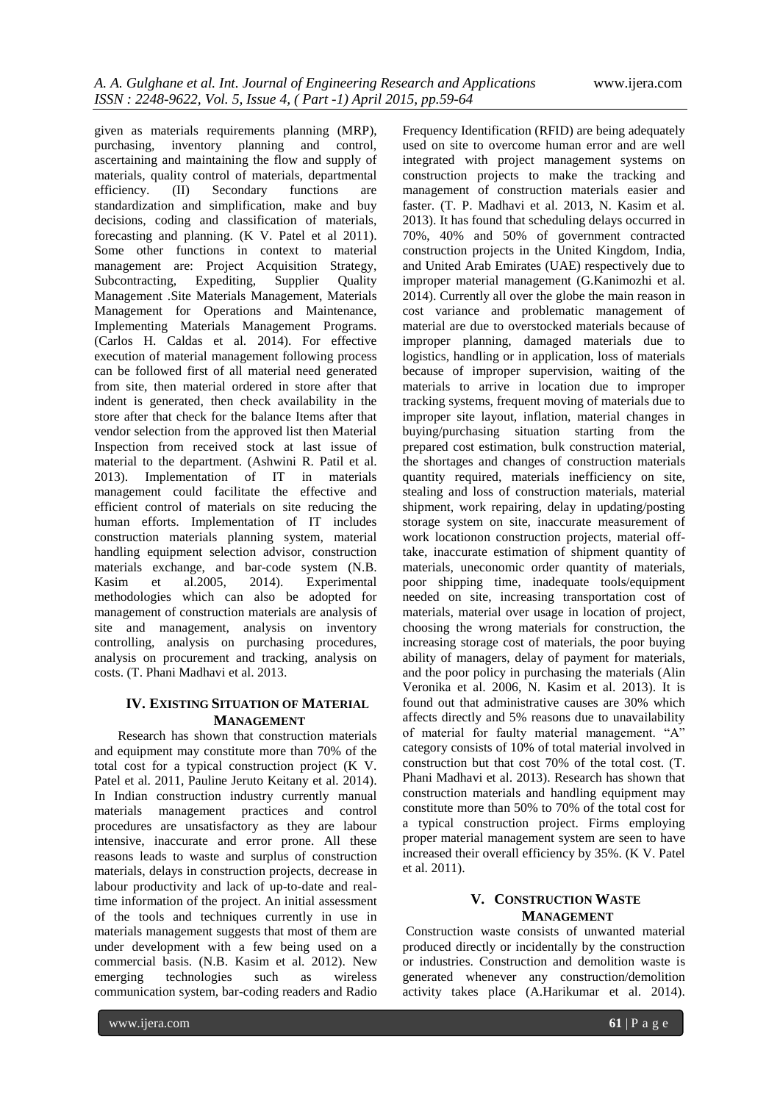given as materials requirements planning (MRP), purchasing, inventory planning and control, ascertaining and maintaining the flow and supply of materials, quality control of materials, departmental efficiency. (II) Secondary functions are standardization and simplification, make and buy decisions, coding and classification of materials, forecasting and planning. (K V. Patel et al 2011). Some other functions in context to material management are: Project Acquisition Strategy,<br>Subcontracting, Expediting, Supplier Ouality Subcontracting, Expediting, Supplier Quality Management .Site Materials Management, Materials Management for Operations and Maintenance, Implementing Materials Management Programs. (Carlos H. Caldas et al. 2014). For effective execution of material management following process can be followed first of all material need generated from site, then material ordered in store after that indent is generated, then check availability in the store after that check for the balance Items after that vendor selection from the approved list then Material Inspection from received stock at last issue of material to the department. (Ashwini R. Patil et al. 2013). Implementation of IT in materials management could facilitate the effective and efficient control of materials on site reducing the human efforts. Implementation of IT includes construction materials planning system, material handling equipment selection advisor, construction materials exchange, and bar-code system (N.B.<br>Kasim et al.2005. 2014). Experimental Experimental methodologies which can also be adopted for management of construction materials are analysis of site and management, analysis on inventory controlling, analysis on purchasing procedures, analysis on procurement and tracking, analysis on costs. (T. Phani Madhavi et al. 2013.

## **IV. EXISTING SITUATION OF MATERIAL MANAGEMENT**

Research has shown that construction materials and equipment may constitute more than 70% of the total cost for a typical construction project (K V. Patel et al. 2011, Pauline Jeruto Keitany et al. 2014). In Indian construction industry currently manual materials management practices and control procedures are unsatisfactory as they are labour intensive, inaccurate and error prone. All these reasons leads to waste and surplus of construction materials, delays in construction projects, decrease in labour productivity and lack of up-to-date and realtime information of the project. An initial assessment of the tools and techniques currently in use in materials management suggests that most of them are under development with a few being used on a commercial basis. (N.B. Kasim et al. 2012). New emerging technologies such as wireless communication system, bar-coding readers and Radio Frequency Identification (RFID) are being adequately used on site to overcome human error and are well integrated with project management systems on construction projects to make the tracking and management of construction materials easier and faster. (T. P. Madhavi et al. 2013, N. Kasim et al. 2013). It has found that scheduling delays occurred in 70%, 40% and 50% of government contracted construction projects in the United Kingdom, India, and United Arab Emirates (UAE) respectively due to improper material management (G.Kanimozhi et al. 2014). Currently all over the globe the main reason in cost variance and problematic management of material are due to overstocked materials because of improper planning, damaged materials due to logistics, handling or in application, loss of materials because of improper supervision, waiting of the materials to arrive in location due to improper tracking systems, frequent moving of materials due to improper site layout, inflation, material changes in buying/purchasing situation starting from the prepared cost estimation, bulk construction material, the shortages and changes of construction materials quantity required, materials inefficiency on site, stealing and loss of construction materials, material shipment, work repairing, delay in updating/posting storage system on site, inaccurate measurement of work locationon construction projects, material offtake, inaccurate estimation of shipment quantity of materials, uneconomic order quantity of materials, poor shipping time, inadequate tools/equipment needed on site, increasing transportation cost of materials, material over usage in location of project, choosing the wrong materials for construction, the increasing storage cost of materials, the poor buying ability of managers, delay of payment for materials, and the poor policy in purchasing the materials (Alin Veronika et al. 2006, N. Kasim et al. 2013). It is found out that administrative causes are 30% which affects directly and 5% reasons due to unavailability of material for faulty material management. "A" category consists of 10% of total material involved in construction but that cost 70% of the total cost. (T. Phani Madhavi et al. 2013). Research has shown that construction materials and handling equipment may constitute more than 50% to 70% of the total cost for a typical construction project. Firms employing proper material management system are seen to have increased their overall efficiency by 35%. (K V. Patel et al. 2011).

### **V. CONSTRUCTION WASTE MANAGEMENT**

Construction waste consists of unwanted material produced directly or incidentally by the construction or industries. Construction and demolition waste is generated whenever any construction/demolition activity takes place (A.Harikumar et al. 2014).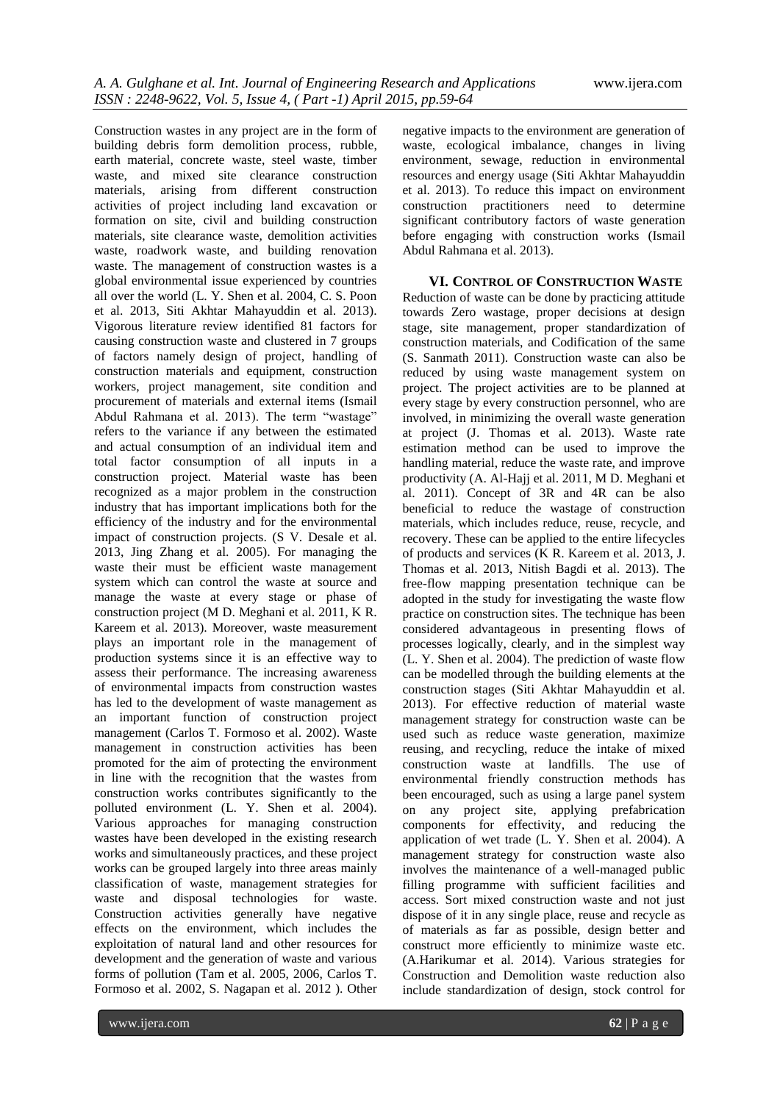Construction wastes in any project are in the form of building debris form demolition process, rubble, earth material, concrete waste, steel waste, timber waste, and mixed site clearance construction materials, arising from different construction activities of project including land excavation or formation on site, civil and building construction materials, site clearance waste, demolition activities waste, roadwork waste, and building renovation waste. The management of construction wastes is a global environmental issue experienced by countries all over the world (L. Y. Shen et al. 2004, C. S. Poon et al. 2013, Siti Akhtar Mahayuddin et al. 2013). Vigorous literature review identified 81 factors for causing construction waste and clustered in 7 groups of factors namely design of project, handling of construction materials and equipment, construction workers, project management, site condition and procurement of materials and external items (Ismail Abdul Rahmana et al. 2013). The term "wastage" refers to the variance if any between the estimated and actual consumption of an individual item and total factor consumption of all inputs in a construction project. Material waste has been recognized as a major problem in the construction industry that has important implications both for the efficiency of the industry and for the environmental impact of construction projects. (S V. Desale et al. 2013, Jing Zhang et al. 2005). For managing the waste their must be efficient waste management system which can control the waste at source and manage the waste at every stage or phase of construction project (M D. Meghani et al. 2011, K R. Kareem et al. 2013). Moreover, waste measurement plays an important role in the management of production systems since it is an effective way to assess their performance. The increasing awareness of environmental impacts from construction wastes has led to the development of waste management as an important function of construction project management (Carlos T. Formoso et al. 2002). Waste management in construction activities has been promoted for the aim of protecting the environment in line with the recognition that the wastes from construction works contributes significantly to the polluted environment (L. Y. Shen et al. 2004). Various approaches for managing construction wastes have been developed in the existing research works and simultaneously practices, and these project works can be grouped largely into three areas mainly classification of waste, management strategies for waste and disposal technologies for waste. Construction activities generally have negative effects on the environment, which includes the exploitation of natural land and other resources for development and the generation of waste and various forms of pollution (Tam et al. 2005, 2006, Carlos T. Formoso et al. 2002, S. Nagapan et al. 2012 ). Other negative impacts to the environment are generation of waste, ecological imbalance, changes in living environment, sewage, reduction in environmental resources and energy usage (Siti Akhtar Mahayuddin et al. 2013). To reduce this impact on environment construction practitioners need to determine significant contributory factors of waste generation before engaging with construction works (Ismail Abdul Rahmana et al. 2013).

**VI. CONTROL OF CONSTRUCTION WASTE** Reduction of waste can be done by practicing attitude towards Zero wastage, proper decisions at design stage, site management, proper standardization of construction materials, and Codification of the same (S. Sanmath 2011). Construction waste can also be reduced by using waste management system on project. The project activities are to be planned at every stage by every construction personnel, who are involved, in minimizing the overall waste generation at project (J. Thomas et al. 2013). Waste rate estimation method can be used to improve the handling material, reduce the waste rate, and improve productivity (A. Al-Hajj et al. 2011, M D. Meghani et al. 2011). Concept of 3R and 4R can be also beneficial to reduce the wastage of construction materials, which includes reduce, reuse, recycle, and recovery. These can be applied to the entire lifecycles of products and services (K R. Kareem et al. 2013, J. Thomas et al. 2013, Nitish Bagdi et al. 2013). The free-flow mapping presentation technique can be adopted in the study for investigating the waste flow practice on construction sites. The technique has been considered advantageous in presenting flows of processes logically, clearly, and in the simplest way (L. Y. Shen et al. 2004). The prediction of waste flow can be modelled through the building elements at the construction stages (Siti Akhtar Mahayuddin et al. 2013). For effective reduction of material waste management strategy for construction waste can be used such as reduce waste generation, maximize reusing, and recycling, reduce the intake of mixed construction waste at landfills. The use of environmental friendly construction methods has been encouraged, such as using a large panel system on any project site, applying prefabrication components for effectivity, and reducing the application of wet trade (L. Y. Shen et al. 2004). A management strategy for construction waste also involves the maintenance of a well-managed public filling programme with sufficient facilities and access. Sort mixed construction waste and not just dispose of it in any single place, reuse and recycle as of materials as far as possible, design better and construct more efficiently to minimize waste etc. (A.Harikumar et al. 2014). Various strategies for Construction and Demolition waste reduction also include standardization of design, stock control for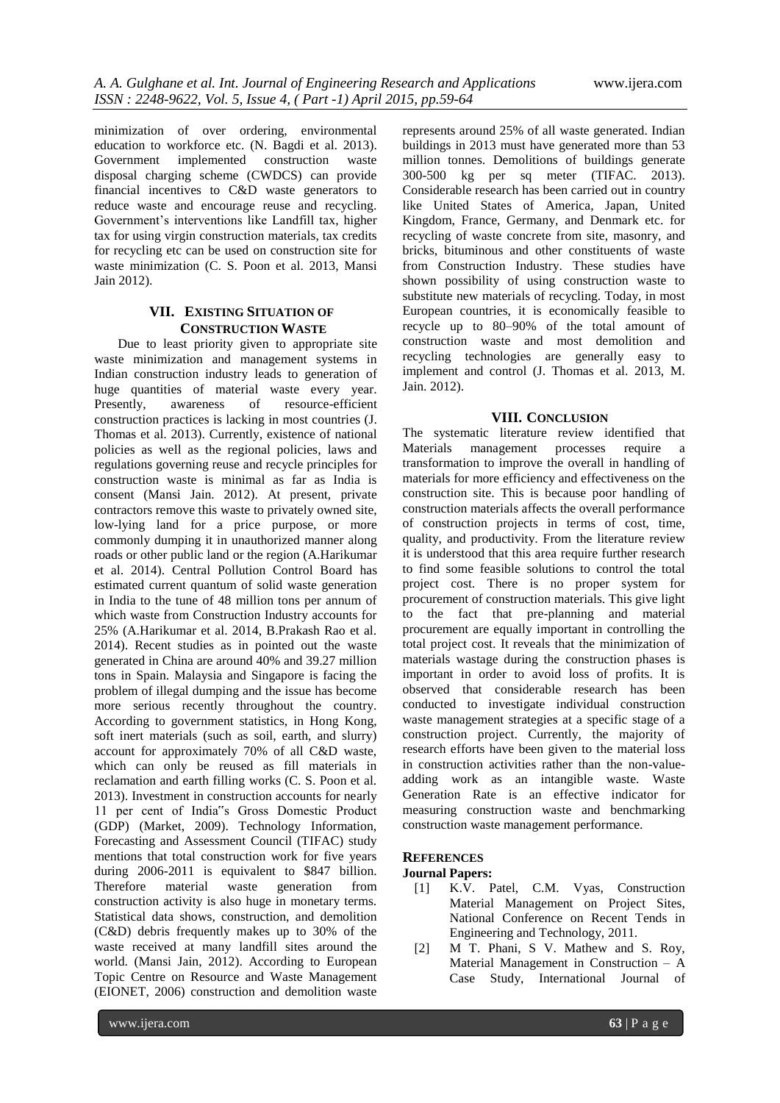minimization of over ordering, environmental education to workforce etc. (N. Bagdi et al. 2013). Government implemented construction waste disposal charging scheme (CWDCS) can provide financial incentives to C&D waste generators to reduce waste and encourage reuse and recycling. Government's interventions like Landfill tax, higher tax for using virgin construction materials, tax credits for recycling etc can be used on construction site for waste minimization (C. S. Poon et al. 2013, Mansi Jain 2012).

#### **VII. EXISTING SITUATION OF CONSTRUCTION WASTE**

Due to least priority given to appropriate site waste minimization and management systems in Indian construction industry leads to generation of huge quantities of material waste every year. Presently, awareness of resource-efficient construction practices is lacking in most countries (J. Thomas et al. 2013). Currently, existence of national policies as well as the regional policies, laws and regulations governing reuse and recycle principles for construction waste is minimal as far as India is consent (Mansi Jain. 2012). At present, private contractors remove this waste to privately owned site, low-lying land for a price purpose, or more commonly dumping it in unauthorized manner along roads or other public land or the region (A.Harikumar et al. 2014). Central Pollution Control Board has estimated current quantum of solid waste generation in India to the tune of 48 million tons per annum of which waste from Construction Industry accounts for 25% (A.Harikumar et al. 2014, B.Prakash Rao et al. 2014). Recent studies as in pointed out the waste generated in China are around 40% and 39.27 million tons in Spain. Malaysia and Singapore is facing the problem of illegal dumping and the issue has become more serious recently throughout the country. According to government statistics, in Hong Kong, soft inert materials (such as soil, earth, and slurry) account for approximately 70% of all C&D waste, which can only be reused as fill materials in reclamation and earth filling works (C. S. Poon et al. 2013). Investment in construction accounts for nearly 11 per cent of India"s Gross Domestic Product (GDP) (Market, 2009). Technology Information, Forecasting and Assessment Council (TIFAC) study mentions that total construction work for five years during 2006-2011 is equivalent to \$847 billion. Therefore material waste generation from construction activity is also huge in monetary terms. Statistical data shows, construction, and demolition (C&D) debris frequently makes up to 30% of the waste received at many landfill sites around the world. (Mansi Jain, 2012). According to European Topic Centre on Resource and Waste Management (EIONET, 2006) construction and demolition waste

represents around 25% of all waste generated. Indian buildings in 2013 must have generated more than 53 million tonnes. Demolitions of buildings generate 300-500 kg per sq meter (TIFAC. 2013). Considerable research has been carried out in country like United States of America, Japan, United Kingdom, France, Germany, and Denmark etc. for recycling of waste concrete from site, masonry, and bricks, bituminous and other constituents of waste from Construction Industry. These studies have shown possibility of using construction waste to substitute new materials of recycling. Today, in most European countries, it is economically feasible to recycle up to 80–90% of the total amount of construction waste and most demolition and recycling technologies are generally easy to implement and control (J. Thomas et al. 2013, M. Jain. 2012).

### **VIII. CONCLUSION**

The systematic literature review identified that Materials management processes require a transformation to improve the overall in handling of materials for more efficiency and effectiveness on the construction site. This is because poor handling of construction materials affects the overall performance of construction projects in terms of cost, time, quality, and productivity. From the literature review it is understood that this area require further research to find some feasible solutions to control the total project cost. There is no proper system for procurement of construction materials. This give light to the fact that pre-planning and material procurement are equally important in controlling the total project cost. It reveals that the minimization of materials wastage during the construction phases is important in order to avoid loss of profits. It is observed that considerable research has been conducted to investigate individual construction waste management strategies at a specific stage of a construction project. Currently, the majority of research efforts have been given to the material loss in construction activities rather than the non-valueadding work as an intangible waste. Waste Generation Rate is an effective indicator for measuring construction waste and benchmarking construction waste management performance.

#### **REFERENCES**

#### **Journal Papers:**

- [1] K.V. Patel, C.M. Vyas, Construction Material Management on Project Sites, National Conference on Recent Tends in Engineering and Technology, 2011.
- [2] M T. Phani, S V. Mathew and S. Roy, Material Management in Construction – A Case Study, International Journal of